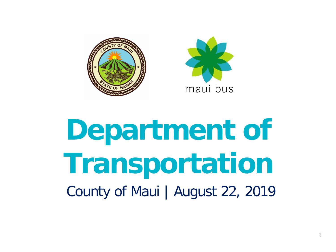



# **Department of Transportation** County of Maui | August 22, 2019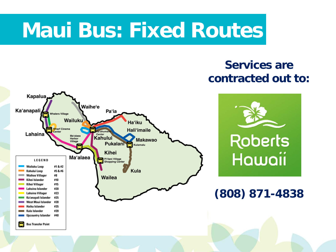### **Maui Bus: Fixed Routes**

#### **Services are contracted out to:**

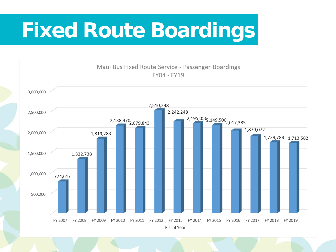## **Fixed Route Boardings**

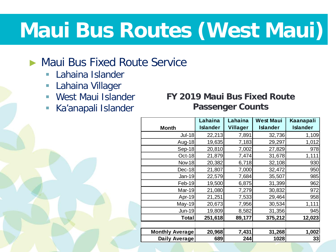## **Maui Bus Routes (West Maui)**

#### ► Maui Bus Fixed Route Service

- **Lahaina Islander**
- **Lahaina Villager**
- **West Maui Islander**
- Ka'anapali Islander

#### **FY 2019 Maui Bus Fixed Route Passenger Counts**

|                        | Lahaina         | Lahaina         | <b>West Maui</b> | Kaanapali       |
|------------------------|-----------------|-----------------|------------------|-----------------|
| <b>Month</b>           | <b>Islander</b> | <b>Villager</b> | <b>Islander</b>  | <b>Islander</b> |
| <b>Jul-18</b>          | 22,213          | 7,891           | 32,736           | 1,109           |
| Aug-18                 | 19,635          | 7,183           | 29,297           | 1,012           |
| Sep-18                 | 20,810          | 7,002           | 27,829           | 978             |
| Oct-18                 | 21,879          | 7,474           | 31,678           | 1,111           |
| <b>Nov-18</b>          | 20,382          | 6,718           | 32,108           | 930             |
| Dec-18                 | 21,807          | 7,000           | 32,472           | 950             |
| Jan-19                 | 22,579          | 7,684           | 35,507           | 985             |
| Feb-19                 | 19,500          | 6,875           | 31,399           | 962             |
| Mar-19                 | 21,080          | 7,279           | 30,832           | 972             |
| Apr-19                 | 21,251          | 7,533           | 29,464           | 958             |
| May-19                 | 20,673          | 7,956           | 30,534           | 1,111           |
| <b>Jun-19</b>          | 19,809          | 8,582           | 31,356           | 945             |
| <b>Total</b>           | 251,618         | 89,177          | 375,212          | 12,023          |
|                        |                 |                 |                  |                 |
| <b>Monthly Average</b> | 20,968          | 7,431           | 31,268           | 1,002           |
| Daily Average          | 689             | 244             | 1028             | 33              |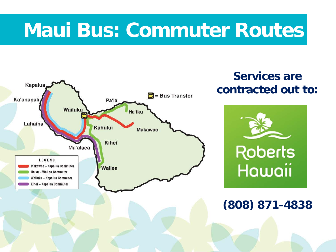### **Maui Bus: Commuter Routes**

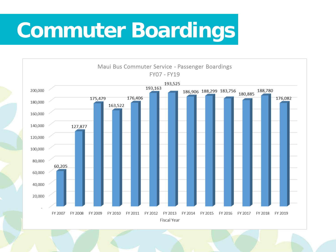## **Commuter Boardings**

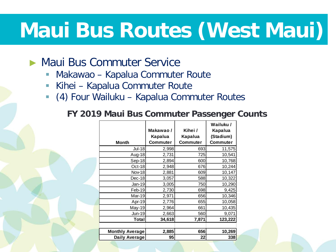## **Maui Bus Routes (West Maui)**

#### Maui Bus Commuter Service

- **Makawao Kapalua Commuter Route**
- **Kihei Kapalua Commuter Route**
- (4) Four Wailuku Kapalua Commuter Routes

#### **FY 2019 Maui Bus Commuter Passenger Counts**

| <b>Month</b>           | Makawao/<br>Kapalua<br>Commuter | Kihei /<br>Kapalua<br>Commuter | Wailuku /<br>Kapalua<br>(Stadium)<br>Commuter |
|------------------------|---------------------------------|--------------------------------|-----------------------------------------------|
| <b>Jul-18</b>          | 2,998                           | 693                            | 11,575                                        |
|                        |                                 |                                |                                               |
| Aug-18                 | 2,731                           | 725                            | 10,541                                        |
| Sep-18                 | 2,894                           | 600                            | 10,768                                        |
| Oct-18                 | 2,948                           | 676                            | 10,244                                        |
| Nov-18                 | 2,881                           | 609                            | 10,147                                        |
| Dec-18                 | 3,057                           | 588                            | 10,322                                        |
| Jan-19                 | 3,005                           | 750                            | 10,290                                        |
| Feb-19                 | 2,730                           | 698                            | 9,425                                         |
| Mar-19                 | 2,971                           | 656                            | 10,346                                        |
| Apr-19                 | 2,776                           | 655                            | 10,058                                        |
| May-19                 | 2,964                           | 661                            | 10,435                                        |
| Jun-19                 | 2,663                           | 560                            | 9,071                                         |
| Total                  | 34,618                          | 7,871                          | 123,222                                       |
|                        |                                 |                                |                                               |
| <b>Monthly Average</b> | 2,885                           | 656                            | 10,269                                        |
| Daily Average          | 95                              | 22                             | 338                                           |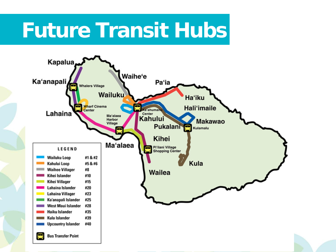### **Future Transit Hubs**

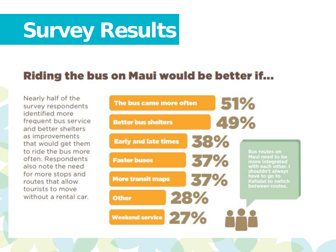# **Survey Results**

#### **Riding the bus on Maui would be better if...**

Nearly half of the survey respondents identified more frequent bus service and better shelters as improvements that would get them to ride the bus more often. Respondents also note the need for more stops and routes that allow tourists to move without a rental car.

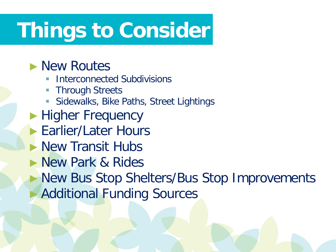## **Things to Consider**

### ► New Routes

- Interconnected Subdivisions
- **Through Streets**
- **Sidewalks, Bike Paths, Street Lightings**
- ► Higher Frequency
- ► Earlier/Later Hours
- ► New Transit Hubs
- ► New Park & Rides
- ► New Bus Stop Shelters/Bus Stop Improvements ► Additional Funding Sources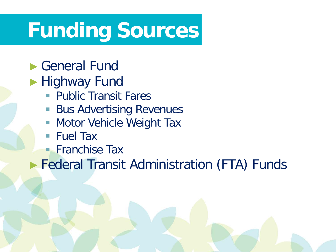### **Funding Sources**

### ► General Fund

- ► Highway Fund
	- **Public Transit Fares**
	- **Bus Advertising Revenues**
	- **Motor Vehicle Weight Tax**
	- Fuel Tax
	- **Franchise Tax**

► Federal Transit Administration (FTA) Funds